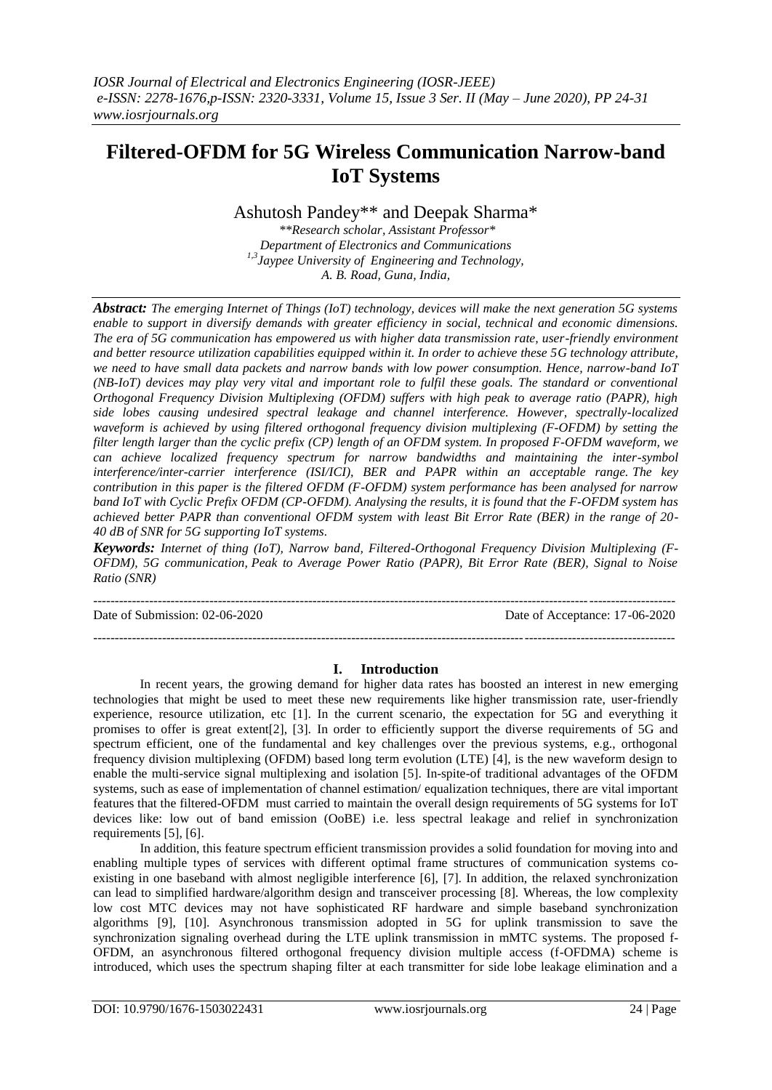# **Filtered-OFDM for 5G Wireless Communication Narrow-band IoT Systems**

Ashutosh Pandey\*\* and Deepak Sharma\*

*\*\*Research scholar, Assistant Professor\* Department of Electronics and Communications 1,3Jaypee University of Engineering and Technology, A. B. Road, Guna, India,*

*Abstract: The emerging Internet of Things (IoT) technology, devices will make the next generation 5G systems enable to support in diversify demands with greater efficiency in social, technical and economic dimensions. The era of 5G communication has empowered us with higher data transmission rate, user-friendly environment and better resource utilization capabilities equipped within it. In order to achieve these 5G technology attribute, we need to have small data packets and narrow bands with low power consumption. Hence, narrow-band IoT (NB-IoT) devices may play very vital and important role to fulfil these goals. The standard or conventional Orthogonal Frequency Division Multiplexing (OFDM) suffers with high peak to average ratio (PAPR), high side lobes causing undesired spectral leakage and channel interference. However, spectrally-localized waveform is achieved by using filtered orthogonal frequency division multiplexing (F-OFDM) by setting the filter length larger than the cyclic prefix (CP) length of an OFDM system. In proposed F-OFDM waveform, we can achieve localized frequency spectrum for narrow bandwidths and maintaining the inter-symbol interference/inter-carrier interference (ISI/ICI), BER and PAPR within an acceptable range. The key contribution in this paper is the filtered OFDM (F-OFDM) system performance has been analysed for narrow band IoT with Cyclic Prefix OFDM (CP-OFDM). Analysing the results, it is found that the F-OFDM system has achieved better PAPR than conventional OFDM system with least Bit Error Rate (BER) in the range of 20- 40 dB of SNR for 5G supporting IoT systems.*

*Keywords: Internet of thing (IoT), Narrow band, Filtered-Orthogonal Frequency Division Multiplexing (F-OFDM), 5G communication, Peak to Average Power Ratio (PAPR), Bit Error Rate (BER), Signal to Noise Ratio (SNR)*

---------------------------------------------------------------------------------------------------------------------------------------

Date of Submission: 02-06-2020 Date of Acceptance: 17-06-2020

---------------------------------------------------------------------------------------------------------------------------------------

# **I. Introduction**

In recent years, the growing demand for higher data rates has boosted an interest in new emerging technologies that might be used to meet these new requirements like higher transmission rate, user-friendly experience, resource utilization, etc [1]. In the current scenario, the expectation for 5G and everything it promises to offer is great extent[2], [3]. In order to efficiently support the diverse requirements of 5G and spectrum efficient, one of the fundamental and key challenges over the previous systems, e.g., orthogonal frequency division multiplexing (OFDM) based long term evolution (LTE) [4], is the new waveform design to enable the multi-service signal multiplexing and isolation [5]. In-spite-of traditional advantages of the OFDM systems, such as ease of implementation of channel estimation/ equalization techniques, there are vital important features that the filtered-OFDM must carried to maintain the overall design requirements of 5G systems for IoT devices like: low out of band emission (OoBE) i.e. less spectral leakage and relief in synchronization requirements [5], [6].

In addition, this feature spectrum efficient transmission provides a solid foundation for moving into and enabling multiple types of services with different optimal frame structures of communication systems coexisting in one baseband with almost negligible interference [6], [7]. In addition, the relaxed synchronization can lead to simplified hardware/algorithm design and transceiver processing [8]. Whereas, the low complexity low cost MTC devices may not have sophisticated RF hardware and simple baseband synchronization algorithms [9], [10]. Asynchronous transmission adopted in 5G for uplink transmission to save the synchronization signaling overhead during the LTE uplink transmission in mMTC systems. The proposed f-OFDM, an asynchronous filtered orthogonal frequency division multiple access (f-OFDMA) scheme is introduced, which uses the spectrum shaping filter at each transmitter for side lobe leakage elimination and a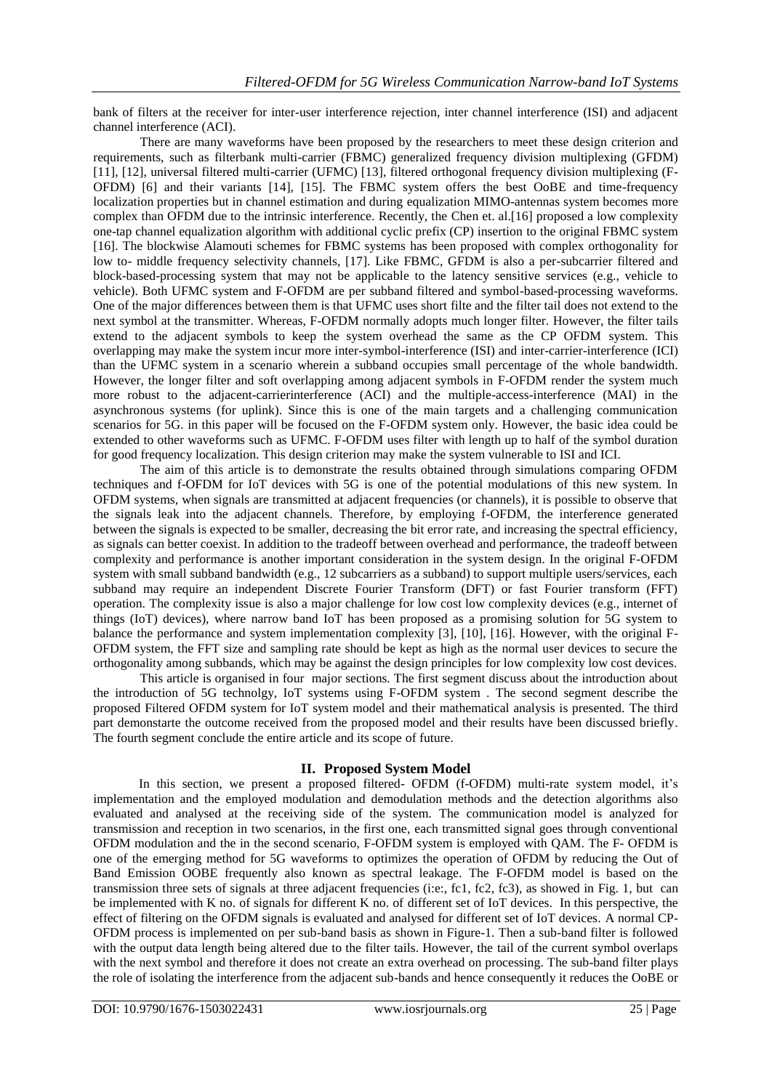bank of filters at the receiver for inter-user interference rejection, inter channel interference (ISI) and adjacent channel interference (ACI).

There are many waveforms have been proposed by the researchers to meet these design criterion and requirements, such as filterbank multi-carrier (FBMC) generalized frequency division multiplexing (GFDM) [11], [12], universal filtered multi-carrier (UFMC) [13], filtered orthogonal frequency division multiplexing (F-OFDM) [6] and their variants [14], [15]. The FBMC system offers the best OoBE and time-frequency localization properties but in channel estimation and during equalization MIMO-antennas system becomes more complex than OFDM due to the intrinsic interference. Recently, the Chen et. al.[16] proposed a low complexity one-tap channel equalization algorithm with additional cyclic prefix (CP) insertion to the original FBMC system [16]. The blockwise Alamouti schemes for FBMC systems has been proposed with complex orthogonality for low to- middle frequency selectivity channels, [17]. Like FBMC, GFDM is also a per-subcarrier filtered and block-based-processing system that may not be applicable to the latency sensitive services (e.g., vehicle to vehicle). Both UFMC system and F-OFDM are per subband filtered and symbol-based-processing waveforms. One of the major differences between them is that UFMC uses short filte and the filter tail does not extend to the next symbol at the transmitter. Whereas, F-OFDM normally adopts much longer filter. However, the filter tails extend to the adjacent symbols to keep the system overhead the same as the CP OFDM system. This overlapping may make the system incur more inter-symbol-interference (ISI) and inter-carrier-interference (ICI) than the UFMC system in a scenario wherein a subband occupies small percentage of the whole bandwidth. However, the longer filter and soft overlapping among adjacent symbols in F-OFDM render the system much more robust to the adjacent-carrierinterference (ACI) and the multiple-access-interference (MAI) in the asynchronous systems (for uplink). Since this is one of the main targets and a challenging communication scenarios for 5G. in this paper will be focused on the F-OFDM system only. However, the basic idea could be extended to other waveforms such as UFMC. F-OFDM uses filter with length up to half of the symbol duration for good frequency localization. This design criterion may make the system vulnerable to ISI and ICI.

The aim of this article is to demonstrate the results obtained through simulations comparing OFDM techniques and f-OFDM for IoT devices with 5G is one of the potential modulations of this new system. In OFDM systems, when signals are transmitted at adjacent frequencies (or channels), it is possible to observe that the signals leak into the adjacent channels. Therefore, by employing f-OFDM, the interference generated between the signals is expected to be smaller, decreasing the bit error rate, and increasing the spectral efficiency, as signals can better coexist. In addition to the tradeoff between overhead and performance, the tradeoff between complexity and performance is another important consideration in the system design. In the original F-OFDM system with small subband bandwidth (e.g., 12 subcarriers as a subband) to support multiple users/services, each subband may require an independent Discrete Fourier Transform (DFT) or fast Fourier transform (FFT) operation. The complexity issue is also a major challenge for low cost low complexity devices (e.g., internet of things (IoT) devices), where narrow band IoT has been proposed as a promising solution for 5G system to balance the performance and system implementation complexity [3], [10], [16]. However, with the original F-OFDM system, the FFT size and sampling rate should be kept as high as the normal user devices to secure the orthogonality among subbands, which may be against the design principles for low complexity low cost devices.

This article is organised in four major sections. The first segment discuss about the introduction about the introduction of 5G technolgy, IoT systems using F-OFDM system . The second segment describe the proposed Filtered OFDM system for IoT system model and their mathematical analysis is presented. The third part demonstarte the outcome received from the proposed model and their results have been discussed briefly. The fourth segment conclude the entire article and its scope of future.

# **II. Proposed System Model**

In this section, we present a proposed filtered- OFDM (f-OFDM) multi-rate system model, it's implementation and the employed modulation and demodulation methods and the detection algorithms also evaluated and analysed at the receiving side of the system. The communication model is analyzed for transmission and reception in two scenarios, in the first one, each transmitted signal goes through conventional OFDM modulation and the in the second scenario, F-OFDM system is employed with QAM. The F- OFDM is one of the emerging method for 5G waveforms to optimizes the operation of OFDM by reducing the Out of Band Emission OOBE frequently also known as spectral leakage. The F-OFDM model is based on the transmission three sets of signals at three adjacent frequencies (i:e:, fc1, fc2, fc3), as showed in Fig. 1, but can be implemented with K no. of signals for different K no. of different set of IoT devices. In this perspective, the effect of filtering on the OFDM signals is evaluated and analysed for different set of IoT devices. A normal CP-OFDM process is implemented on per sub-band basis as shown in Figure-1. Then a sub-band filter is followed with the output data length being altered due to the filter tails. However, the tail of the current symbol overlaps with the next symbol and therefore it does not create an extra overhead on processing. The sub-band filter plays the role of isolating the interference from the adjacent sub-bands and hence consequently it reduces the OoBE or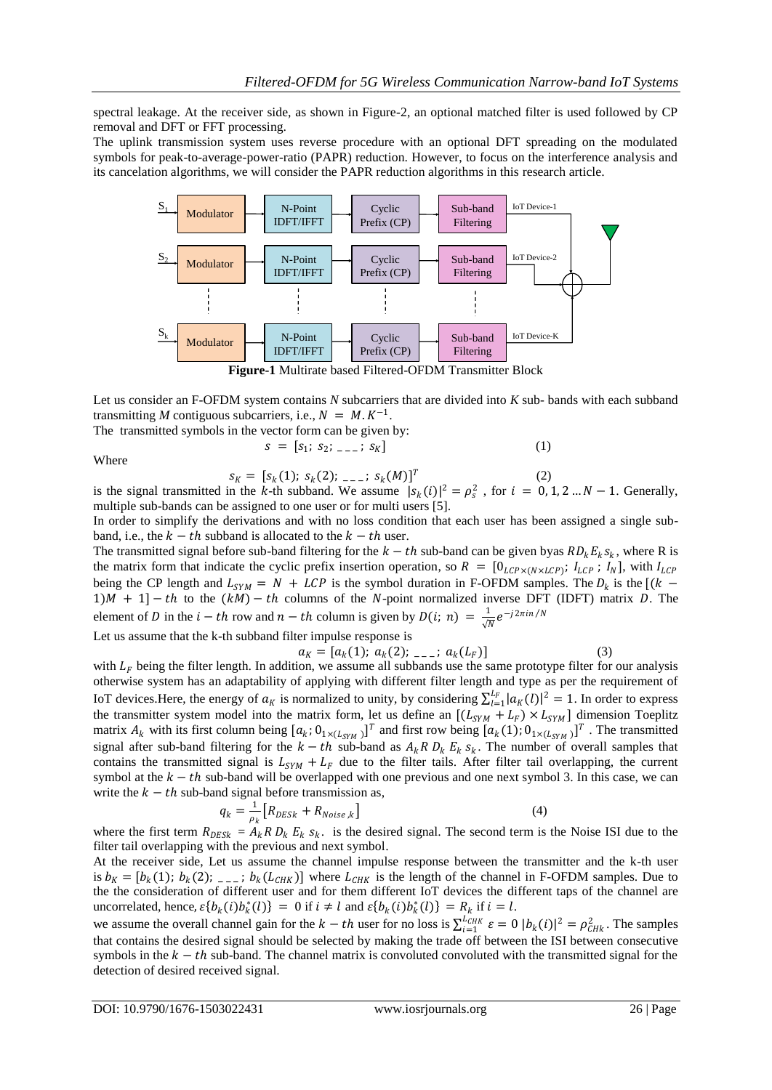spectral leakage. At the receiver side, as shown in Figure-2, an optional matched filter is used followed by CP removal and DFT or FFT processing.

The uplink transmission system uses reverse procedure with an optional DFT spreading on the modulated symbols for peak-to-average-power-ratio (PAPR) reduction. However, to focus on the interference analysis and its cancelation algorithms, we will consider the PAPR reduction algorithms in this research article.



**Figure-1** Multirate based Filtered-OFDM Transmitter Block

Let us consider an F-OFDM system contains *N* subcarriers that are divided into *K* sub- bands with each subband transmitting *M* contiguous subcarriers, i.e.,  $N = M.K^{-1}$ . The transmitted symbols in the vector form can be given by:

The translimited symbols in the vector form can be given by:  

$$
s = [s_1; s_2; \t_{n-1}; s_K]
$$
 (1)

Where

 $s_K = [s_k(1); s_k(2); \ldots; s_k(M)]^T$  (2) is the signal transmitted in the k-th subband. We assume  $|s_k(i)|^2 = \rho_s^2$ , for  $i = 0, 1, 2...N - 1$ . Generally, multiple sub-bands can be assigned to one user or for multi users [5].

In order to simplify the derivations and with no loss condition that each user has been assigned a single subband, i.e., the  $k - th$  subband is allocated to the  $k - th$  user.

The transmitted signal before sub-band filtering for the  $k - th$  sub-band can be given byas  $RD_k E_k s_k$ , where R is the matrix form that indicate the cyclic prefix insertion operation, so  $R = [0_{LCP \times (N \times LCP)}; I_{LCP}; I_N]$ , with  $I_{LCP}$ being the CP length and  $L_{SYM} = N + LCP$  is the symbol duration in F-OFDM samples. The  $D_k$  is the [(k –  $1/M + 1$  – th to the  $(kM) - th$  columns of the N-point normalized inverse DFT (IDFT) matrix D. The element of D in the  $i - th$  row and  $n - th$  column is given by  $D(i; n) = \frac{1}{n}$  $\frac{1}{\sqrt{N}}e^{-j2\pi in/N}$ 

Let us assume that the k-th subband filter impulse response is

 $a_K = [a_k(1); a_k(2); \ldots; a_k(L_F)]$  (3)

with  $L_F$  being the filter length. In addition, we assume all subbands use the same prototype filter for our analysis otherwise system has an adaptability of applying with different filter length and type as per the requirement of IoT devices. Here, the energy of  $a_K$  is normalized to unity, by considering  $\sum_{l=1}^{L_F} |a_K(l)|^2 = 1$ . In order to express the transmitter system model into the matrix form, let us define an  $[(L_{SYM} + L_F) \times L_{SYM}]$  dimension Toeplitz matrix  $A_k$  with its first column being  $[a_k; 0_{1 \times (L_{SYM})}]^T$  and first row being  $[a_k(1); 0_{1 \times (L_{SYM})}]^T$ . The transmitted signal after sub-band filtering for the  $k-th$  sub-band as  $A_k R D_k E_k s_k$ . The number of overall samples that contains the transmitted signal is  $L_{SYM} + L_F$  due to the filter tails. After filter tail overlapping, the current symbol at the  $k - th$  sub-band will be overlapped with one previous and one next symbol 3. In this case, we can write the  $k - th$  sub-band signal before transmission as,

$$
q_k = \frac{1}{\rho_k} \left[ R_{DESk} + R_{Noise,k} \right] \tag{4}
$$

where the first term  $R_{DESk} = A_k R D_k E_k s_k$ . is the desired signal. The second term is the Noise ISI due to the filter tail overlapping with the previous and next symbol.

At the receiver side, Let us assume the channel impulse response between the transmitter and the k-th user is  $b_K = [b_k(1); b_k(2); \ldots; b_k(L_{CHK})]$  where  $L_{CHK}$  is the length of the channel in F-OFDM samples. Due to the the consideration of different user and for them different IoT devices the different taps of the channel are uncorrelated, hence,  $\varepsilon \{b_k(i)b_k^*(l)\} = 0$  if  $i \neq l$  and  $\varepsilon \{b_k(i)b_k^*(l)\} = R_k$  if  $i = l$ .

we assume the overall channel gain for the  $k - th$  user for no loss is  $\sum_{i=1}^{LCHK} \varepsilon = 0$   $|b_k(i)|^2 = \rho_{CHk}^2$ . The samples that contains the desired signal should be selected by making the trade off between the ISI between consecutive symbols in the  $k - th$  sub-band. The channel matrix is convoluted convoluted with the transmitted signal for the detection of desired received signal.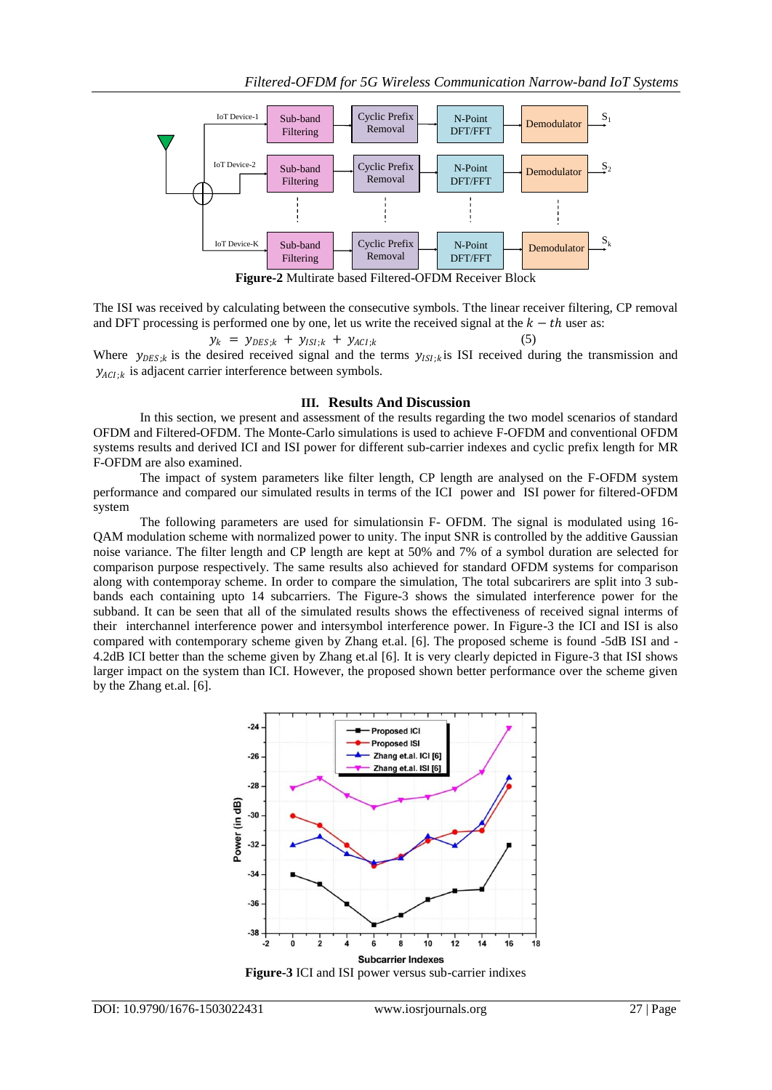

**Figure-2** Multirate based Filtered-OFDM Receiver Block

The ISI was received by calculating between the consecutive symbols. Tthe linear receiver filtering, CP removal and DFT processing is performed one by one, let us write the received signal at the  $k - th$  user as:

 $y_k = y_{DES;k} + y_{ISI;k} + y_{ACI;k}$  $(5)$ Where  $y_{DES;k}$  is the desired received signal and the terms  $y_{ISI;k}$  is ISI received during the transmission and  $y_{ACI;k}$  is adjacent carrier interference between symbols.

#### **III. Results And Discussion**

In this section, we present and assessment of the results regarding the two model scenarios of standard OFDM and Filtered-OFDM. The Monte-Carlo simulations is used to achieve F-OFDM and conventional OFDM systems results and derived ICI and ISI power for different sub-carrier indexes and cyclic prefix length for MR F-OFDM are also examined.

The impact of system parameters like filter length, CP length are analysed on the F-OFDM system performance and compared our simulated results in terms of the ICI power and ISI power for filtered-OFDM system

The following parameters are used for simulationsin F- OFDM. The signal is modulated using 16- QAM modulation scheme with normalized power to unity. The input SNR is controlled by the additive Gaussian noise variance. The filter length and CP length are kept at 50% and 7% of a symbol duration are selected for comparison purpose respectively. The same results also achieved for standard OFDM systems for comparison along with contemporay scheme. In order to compare the simulation, The total subcarirers are split into 3 subbands each containing upto 14 subcarriers. The Figure-3 shows the simulated interference power for the subband. It can be seen that all of the simulated results shows the effectiveness of received signal interms of their interchannel interference power and intersymbol interference power. In Figure-3 the ICI and ISI is also compared with contemporary scheme given by Zhang et.al. [6]. The proposed scheme is found -5dB ISI and - 4.2dB ICI better than the scheme given by Zhang et.al [6]. It is very clearly depicted in Figure-3 that ISI shows larger impact on the system than ICI. However, the proposed shown better performance over the scheme given by the Zhang et.al. [6].



**Figure-3** ICI and ISI power versus sub-carrier indixes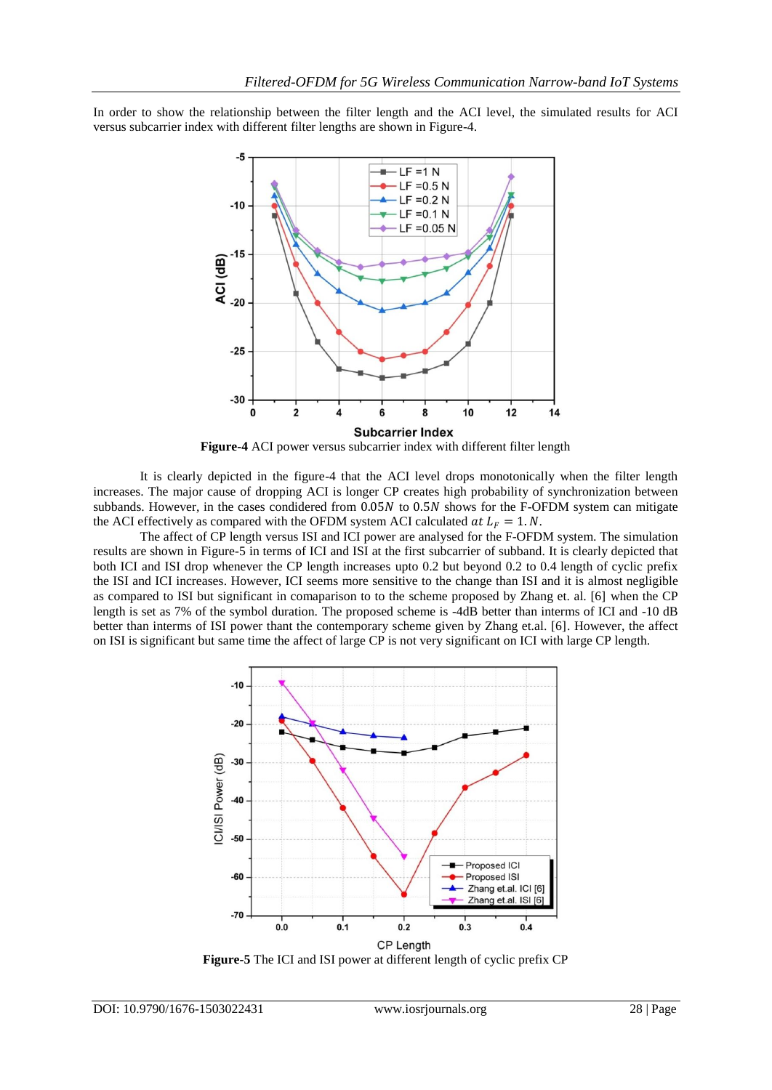In order to show the relationship between the filter length and the ACI level, the simulated results for ACI versus subcarrier index with different filter lengths are shown in Figure-4.



**Figure-4** ACI power versus subcarrier index with different filter length

It is clearly depicted in the figure-4 that the ACI level drops monotonically when the filter length increases. The major cause of dropping ACI is longer CP creates high probability of synchronization between subbands. However, in the cases condidered from  $0.05N$  to  $0.5N$  shows for the F-OFDM system can mitigate the ACI effectively as compared with the OFDM system ACI calculated  $at L<sub>F</sub> = 1$ .N.

The affect of CP length versus ISI and ICI power are analysed for the F-OFDM system. The simulation results are shown in Figure-5 in terms of ICI and ISI at the first subcarrier of subband. It is clearly depicted that both ICI and ISI drop whenever the CP length increases upto 0.2 but beyond 0.2 to 0.4 length of cyclic prefix the ISI and ICI increases. However, ICI seems more sensitive to the change than ISI and it is almost negligible as compared to ISI but significant in comaparison to to the scheme proposed by Zhang et. al. [6] when the CP length is set as 7% of the symbol duration. The proposed scheme is -4dB better than interms of ICI and -10 dB better than interms of ISI power thant the contemporary scheme given by Zhang et.al. [6]. However, the affect on ISI is significant but same time the affect of large CP is not very significant on ICI with large CP length.



**Figure-5** The ICI and ISI power at different length of cyclic prefix CP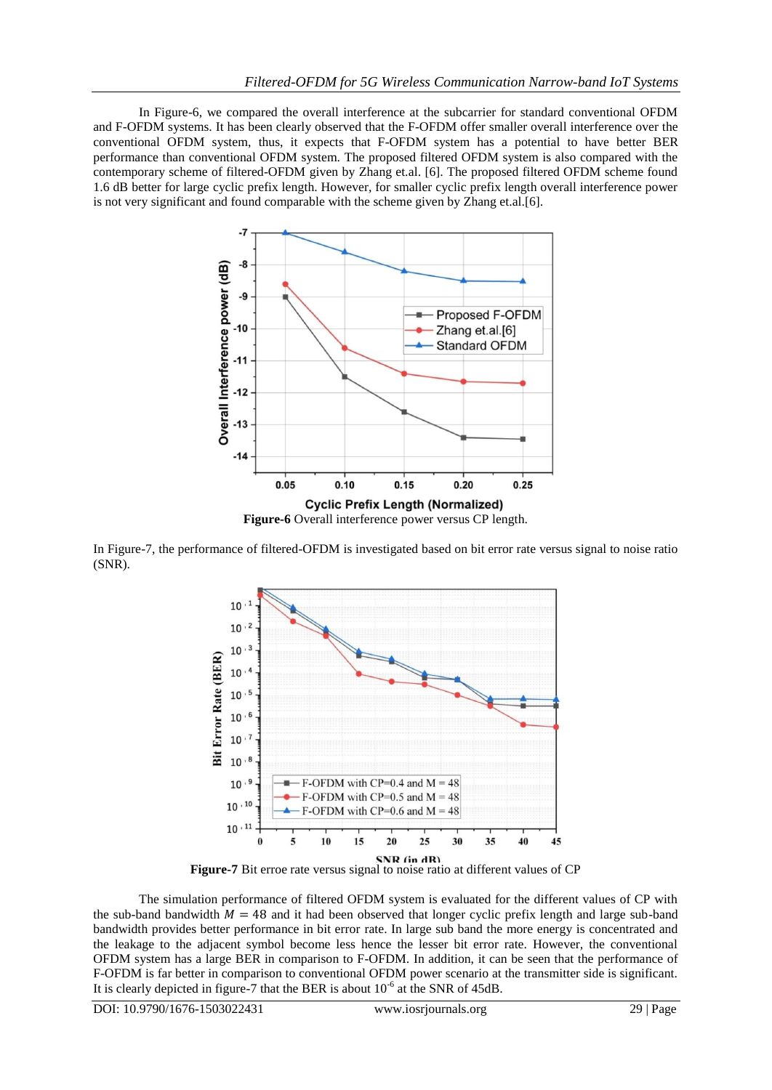In Figure-6, we compared the overall interference at the subcarrier for standard conventional OFDM and F-OFDM systems. It has been clearly observed that the F-OFDM offer smaller overall interference over the conventional OFDM system, thus, it expects that F-OFDM system has a potential to have better BER performance than conventional OFDM system. The proposed filtered OFDM system is also compared with the contemporary scheme of filtered-OFDM given by Zhang et.al. [6]. The proposed filtered OFDM scheme found 1.6 dB better for large cyclic prefix length. However, for smaller cyclic prefix length overall interference power is not very significant and found comparable with the scheme given by Zhang et.al.[6].



In Figure-7, the performance of filtered-OFDM is investigated based on bit error rate versus signal to noise ratio (SNR).



**Figure-7** Bit erroe rate versus signal to noise ratio at different values of CP

The simulation performance of filtered OFDM system is evaluated for the different values of CP with the sub-band bandwidth  $M = 48$  and it had been observed that longer cyclic prefix length and large sub-band bandwidth provides better performance in bit error rate. In large sub band the more energy is concentrated and the leakage to the adjacent symbol become less hence the lesser bit error rate. However, the conventional OFDM system has a large BER in comparison to F-OFDM. In addition, it can be seen that the performance of F-OFDM is far better in comparison to conventional OFDM power scenario at the transmitter side is significant. It is clearly depicted in figure-7 that the BER is about  $10^{-6}$  at the SNR of 45dB.

DOI: 10.9790/1676-1503022431 www.iosrjournals.org 29 | Page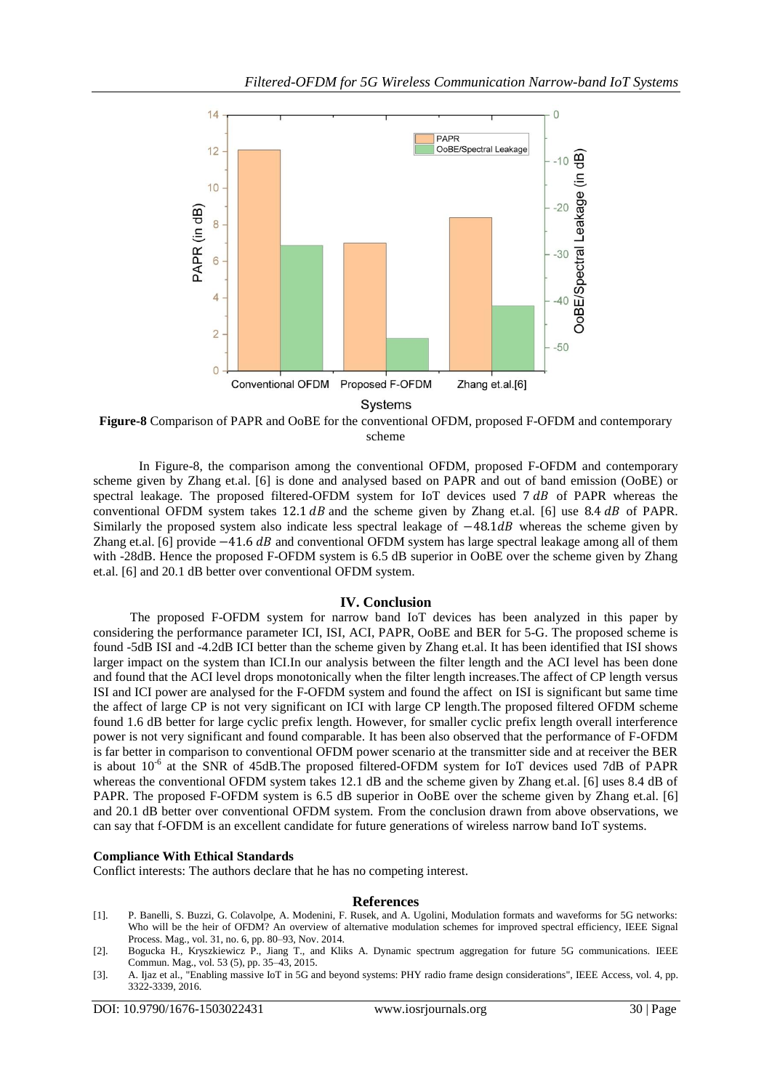

Systems

**Figure-8** Comparison of PAPR and OoBE for the conventional OFDM, proposed F-OFDM and contemporary scheme

In Figure-8, the comparison among the conventional OFDM, proposed F-OFDM and contemporary scheme given by Zhang et.al. [6] is done and analysed based on PAPR and out of band emission (OoBE) or spectral leakage. The proposed filtered-OFDM system for IoT devices used  $7 dB$  of PAPR whereas the conventional OFDM system takes  $12.1$  dB and the scheme given by Zhang et.al. [6] use  $8.4$  dB of PAPR. Similarly the proposed system also indicate less spectral leakage of −48.1dB whereas the scheme given by Zhang et.al. [6] provide  $-41.6$  dB and conventional OFDM system has large spectral leakage among all of them with -28dB. Hence the proposed F-OFDM system is 6.5 dB superior in OoBE over the scheme given by Zhang et.al. [6] and 20.1 dB better over conventional OFDM system.

## **IV. Conclusion**

The proposed F-OFDM system for narrow band IoT devices has been analyzed in this paper by considering the performance parameter ICI, ISI, ACI, PAPR, OoBE and BER for 5-G. The proposed scheme is found -5dB ISI and -4.2dB ICI better than the scheme given by Zhang et.al. It has been identified that ISI shows larger impact on the system than ICI.In our analysis between the filter length and the ACI level has been done and found that the ACI level drops monotonically when the filter length increases.The affect of CP length versus ISI and ICI power are analysed for the F-OFDM system and found the affect on ISI is significant but same time the affect of large CP is not very significant on ICI with large CP length.The proposed filtered OFDM scheme found 1.6 dB better for large cyclic prefix length. However, for smaller cyclic prefix length overall interference power is not very significant and found comparable. It has been also observed that the performance of F-OFDM is far better in comparison to conventional OFDM power scenario at the transmitter side and at receiver the BER is about 10<sup>-6</sup> at the SNR of 45dB.The proposed filtered-OFDM system for IoT devices used 7dB of PAPR whereas the conventional OFDM system takes 12.1 dB and the scheme given by Zhang et.al. [6] uses 8.4 dB of PAPR. The proposed F-OFDM system is 6.5 dB superior in OoBE over the scheme given by Zhang et.al. [6] and 20.1 dB better over conventional OFDM system. From the conclusion drawn from above observations, we can say that f-OFDM is an excellent candidate for future generations of wireless narrow band IoT systems.

## **Compliance With Ethical Standards**

Conflict interests: The authors declare that he has no competing interest.

## **References**

- [1]. P. Banelli, S. Buzzi, G. Colavolpe, A. Modenini, F. Rusek, and A. Ugolini, Modulation formats and waveforms for 5G networks: Who will be the heir of OFDM? An overview of alternative modulation schemes for improved spectral efficiency, IEEE Signal Process. Mag., vol. 31, no. 6, pp. 80–93, Nov. 2014.
- [2]. Bogucka H., Kryszkiewicz P., Jiang T., and Kliks A. Dynamic spectrum aggregation for future 5G communications. IEEE Commun. Mag., vol. 53 (5), pp. 35–43, 2015.
- [3]. A. Ijaz et al., "Enabling massive IoT in 5G and beyond systems: PHY radio frame design considerations", IEEE Access, vol. 4, pp. 3322-3339, 2016.